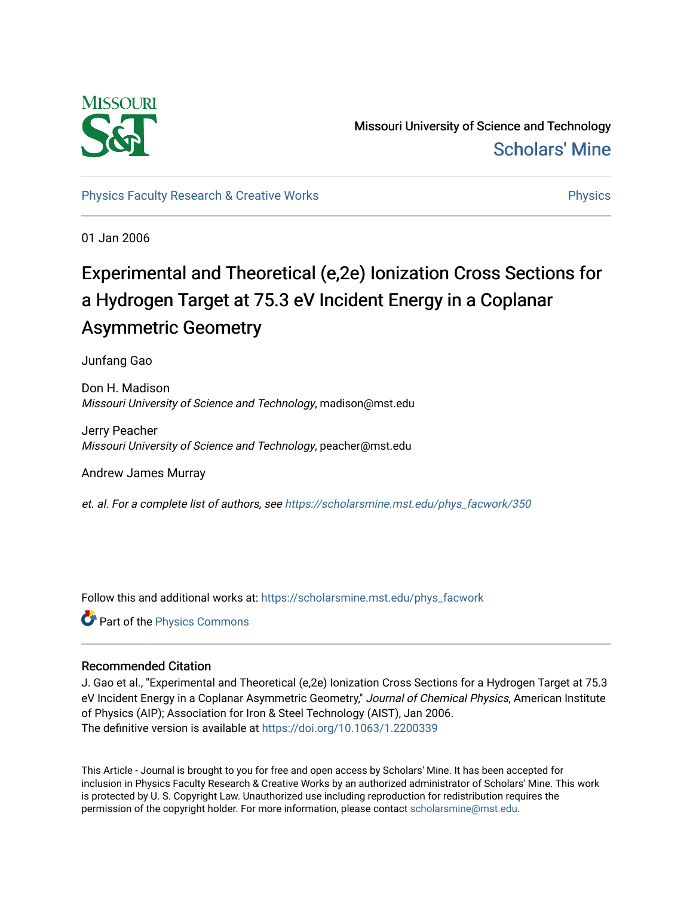

Missouri University of Science and Technology [Scholars' Mine](https://scholarsmine.mst.edu/) 

[Physics Faculty Research & Creative Works](https://scholarsmine.mst.edu/phys_facwork) **Physics** [Physics](https://scholarsmine.mst.edu/phys) **Physics** 

01 Jan 2006

# Experimental and Theoretical (e,2e) Ionization Cross Sections for a Hydrogen Target at 75.3 eV Incident Energy in a Coplanar Asymmetric Geometry

Junfang Gao

Don H. Madison Missouri University of Science and Technology, madison@mst.edu

Jerry Peacher Missouri University of Science and Technology, peacher@mst.edu

Andrew James Murray

et. al. For a complete list of authors, see [https://scholarsmine.mst.edu/phys\\_facwork/350](https://scholarsmine.mst.edu/phys_facwork/350)

Follow this and additional works at: [https://scholarsmine.mst.edu/phys\\_facwork](https://scholarsmine.mst.edu/phys_facwork?utm_source=scholarsmine.mst.edu%2Fphys_facwork%2F350&utm_medium=PDF&utm_campaign=PDFCoverPages) 

Part of the [Physics Commons](http://network.bepress.com/hgg/discipline/193?utm_source=scholarsmine.mst.edu%2Fphys_facwork%2F350&utm_medium=PDF&utm_campaign=PDFCoverPages)

### Recommended Citation

J. Gao et al., "Experimental and Theoretical (e,2e) Ionization Cross Sections for a Hydrogen Target at 75.3 eV Incident Energy in a Coplanar Asymmetric Geometry," Journal of Chemical Physics, American Institute of Physics (AIP); Association for Iron & Steel Technology (AIST), Jan 2006. The definitive version is available at <https://doi.org/10.1063/1.2200339>

This Article - Journal is brought to you for free and open access by Scholars' Mine. It has been accepted for inclusion in Physics Faculty Research & Creative Works by an authorized administrator of Scholars' Mine. This work is protected by U. S. Copyright Law. Unauthorized use including reproduction for redistribution requires the permission of the copyright holder. For more information, please contact [scholarsmine@mst.edu](mailto:scholarsmine@mst.edu).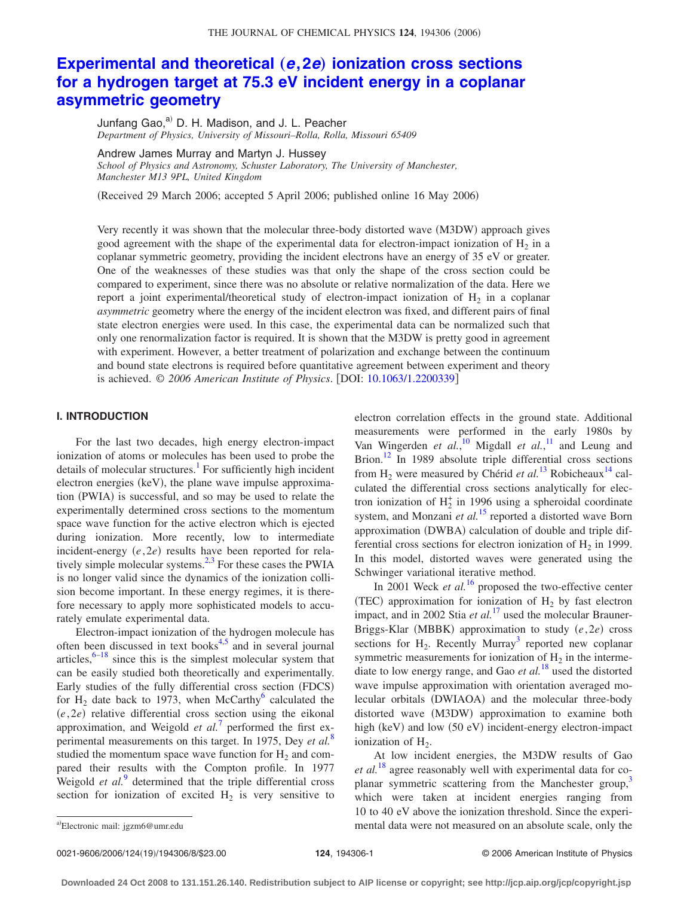## **[Experimental and theoretical](http://dx.doi.org/10.1063/1.2200339) (e,2e) ionization cross sections [for a hydrogen target at 75.3 eV incident energy in a coplanar](http://dx.doi.org/10.1063/1.2200339) [asymmetric geometry](http://dx.doi.org/10.1063/1.2200339)**

Junfang Gao,<sup>a)</sup> D. H. Madison, and J. L. Peacher *Department of Physics, University of Missouri–Rolla, Rolla, Missouri 65409*

Andrew James Murray and Martyn J. Hussey *School of Physics and Astronomy, Schuster Laboratory, The University of Manchester, Manchester M13 9PL, United Kingdom*

(Received 29 March 2006; accepted 5 April 2006; published online 16 May 2006)

Very recently it was shown that the molecular three-body distorted wave (M3DW) approach gives good agreement with the shape of the experimental data for electron-impact ionization of  $H_2$  in a coplanar symmetric geometry, providing the incident electrons have an energy of 35 eV or greater. One of the weaknesses of these studies was that only the shape of the cross section could be compared to experiment, since there was no absolute or relative normalization of the data. Here we report a joint experimental/theoretical study of electron-impact ionization of  $H_2$  in a coplanar *asymmetric* geometry where the energy of the incident electron was fixed, and different pairs of final state electron energies were used. In this case, the experimental data can be normalized such that only one renormalization factor is required. It is shown that the M3DW is pretty good in agreement with experiment. However, a better treatment of polarization and exchange between the continuum and bound state electrons is required before quantitative agreement between experiment and theory is achieved. © *2006 American Institute of Physics*. DOI: [10.1063/1.2200339](http://dx.doi.org/10.1063/1.2200339)

#### **I. INTRODUCTION**

For the last two decades, high energy electron-impact ionization of atoms or molecules has been used to probe the details of molecular structures.<sup>1</sup> For sufficiently high incident electron energies (keV), the plane wave impulse approximation (PWIA) is successful, and so may be used to relate the experimentally determined cross sections to the momentum space wave function for the active electron which is ejected during ionization. More recently, low to intermediate incident-energy  $(e, 2e)$  results have been reported for relatively simple molecular systems. $^{2,3}$  For these cases the PWIA is no longer valid since the dynamics of the ionization collision become important. In these energy regimes, it is therefore necessary to apply more sophisticated models to accurately emulate experimental data.

Electron-impact ionization of the hydrogen molecule has often been discussed in text books<sup>4,5</sup> and in several journal articles, $6-18$  since this is the simplest molecular system that can be easily studied both theoretically and experimentally. Early studies of the fully differential cross section (FDCS) for  $H_2$  date back to 1973, when McCarthy<sup>6</sup> calculated the (e, 2e) relative differential cross section using the eikonal approximation, and Weigold *et al.*<sup>[7](#page-8-0)</sup> performed the first experimental measurements on this target. In 1975, Dey *et al.*[8](#page-8-0) studied the momentum space wave function for  $H_2$  and compared their results with the Compton profile. In 1977 Weigold *et al.*<sup>[9](#page-8-0)</sup> determined that the triple differential cross section for ionization of excited  $H_2$  is very sensitive to

electron correlation effects in the ground state. Additional measurements were performed in the early 1980s by Van Wingerden *et al.*,<sup>[10](#page-8-0)</sup> Migdall *et al.*,<sup>[11](#page-8-0)</sup> and Leung and Brion.<sup>12</sup> In 1989 absolute triple differential cross sections from  $H_2$  were measured by Chérid *et al.*<sup>[13](#page-8-0)</sup> Robicheaux<sup>14</sup> calculated the differential cross sections analytically for electron ionization of  $H_2^+$  in 1996 using a spheroidal coordinate system, and Monzani *et al.*<sup>[15](#page-8-0)</sup> reported a distorted wave Born approximation (DWBA) calculation of double and triple differential cross sections for electron ionization of  $H_2$  in 1999. In this model, distorted waves were generated using the Schwinger variational iterative method.

In 2001 Weck *et al.*<sup>[16](#page-8-0)</sup> proposed the two-effective center (TEC) approximation for ionization of  $H_2$  by fast electron impact, and in 2002 Stia *et al.*<sup>[17](#page-8-0)</sup> used the molecular Brauner-Briggs-Klar (MBBK) approximation to study  $(e, 2e)$  cross sections for  $H_2$ . Recently Murray<sup>3</sup> reported new coplanar symmetric measurements for ionization of  $H_2$  in the intermediate to low energy range, and Gao *et al.*[18](#page-8-0) used the distorted wave impulse approximation with orientation averaged molecular orbitals (DWIAOA) and the molecular three-body distorted wave (M3DW) approximation to examine both high (keV) and low (50 eV) incident-energy electron-impact ionization of  $H_2$ .

At low incident energies, the M3DW results of Gao *et al.*[18](#page-8-0) agree reasonably well with experimental data for coplanar symmetric scattering from the Manchester group, $3$ which were taken at incident energies ranging from 10 to 40 eV above the ionization threshold. Since the experimental data were not measured on an absolute scale, only the

0021-9606/2006/124(19)/194306/8/\$23.00

Electronic mail: jgzm6@umr.edu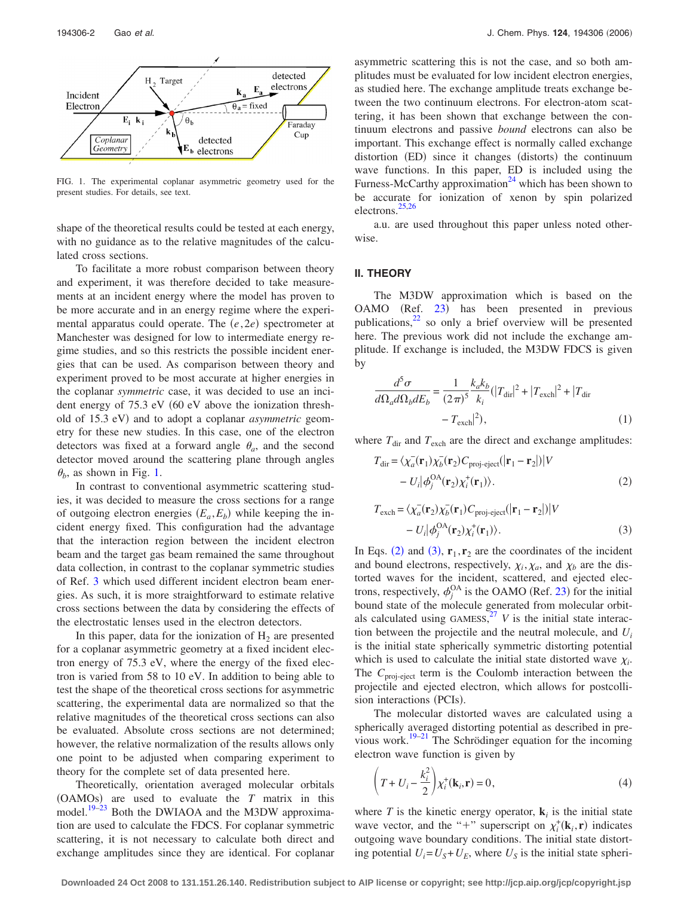<span id="page-2-0"></span>

FIG. 1. The experimental coplanar asymmetric geometry used for the present studies. For details, see text.

shape of the theoretical results could be tested at each energy, with no guidance as to the relative magnitudes of the calculated cross sections.

To facilitate a more robust comparison between theory and experiment, it was therefore decided to take measurements at an incident energy where the model has proven to be more accurate and in an energy regime where the experimental apparatus could operate. The  $(e, 2e)$  spectrometer at Manchester was designed for low to intermediate energy regime studies, and so this restricts the possible incident energies that can be used. As comparison between theory and experiment proved to be most accurate at higher energies in the coplanar *symmetric* case, it was decided to use an incident energy of  $75.3$  eV  $(60 \text{ eV})$  above the ionization threshold of 15.3 eV) and to adopt a coplanar *asymmetric* geometry for these new studies. In this case, one of the electron detectors was fixed at a forward angle  $\theta_a$ , and the second detector moved around the scattering plane through angles  $\theta_b$ , as shown in Fig. 1.

In contrast to conventional asymmetric scattering studies, it was decided to measure the cross sections for a range of outgoing electron energies  $(E_a, E_b)$  while keeping the incident energy fixed. This configuration had the advantage that the interaction region between the incident electron beam and the target gas beam remained the same throughout data collection, in contrast to the coplanar symmetric studies of Ref. [3](#page-8-0) which used different incident electron beam energies. As such, it is more straightforward to estimate relative cross sections between the data by considering the effects of the electrostatic lenses used in the electron detectors.

In this paper, data for the ionization of  $H_2$  are presented for a coplanar asymmetric geometry at a fixed incident electron energy of 75.3 eV, where the energy of the fixed electron is varied from 58 to 10 eV. In addition to being able to test the shape of the theoretical cross sections for asymmetric scattering, the experimental data are normalized so that the relative magnitudes of the theoretical cross sections can also be evaluated. Absolute cross sections are not determined; however, the relative normalization of the results allows only one point to be adjusted when comparing experiment to theory for the complete set of data presented here.

Theoretically, orientation averaged molecular orbitals  $(OAMOs)$  are used to evaluate the  $T$  matrix in this model.<sup>19–23</sup> Both the DWIAOA and the M3DW approximation are used to calculate the FDCS. For coplanar symmetric scattering, it is not necessary to calculate both direct and exchange amplitudes since they are identical. For coplanar

asymmetric scattering this is not the case, and so both amplitudes must be evaluated for low incident electron energies, as studied here. The exchange amplitude treats exchange between the two continuum electrons. For electron-atom scattering, it has been shown that exchange between the continuum electrons and passive *bound* electrons can also be important. This exchange effect is normally called exchange distortion (ED) since it changes (distorts) the continuum wave functions. In this paper, ED is included using the Furness-McCarthy approximation<sup>24</sup> which has been shown to be accurate for ionization of xenon by spin polarized electrons[.25,26](#page-8-0)

a.u. are used throughout this paper unless noted otherwise.

#### **II. THEORY**

The M3DW approximation which is based on the OAMO (Ref. [23](#page-8-0)) has been presented in previous publications, $^{22}$  so only a brief overview will be presented here. The previous work did not include the exchange amplitude. If exchange is included, the M3DW FDCS is given by

$$
\frac{d^5 \sigma}{d\Omega_a d\Omega_b dE_b} = \frac{1}{(2\pi)^5} \frac{k_a k_b}{k_i} (|T_{\text{dir}}|^2 + |T_{\text{exch}}|^2 + |T_{\text{dir}} - T_{\text{exch}}|^2),
$$
\n(1)

where  $T_{\text{dir}}$  and  $T_{\text{exch}}$  are the direct and exchange amplitudes:

$$
T_{\text{dir}} = \langle \chi_a^-(\mathbf{r}_1) \chi_b^-(\mathbf{r}_2) C_{\text{proj-eject}}(|\mathbf{r}_1 - \mathbf{r}_2|)|V - U_i |\phi_j^{\text{OA}}(\mathbf{r}_2) \chi_i^+(\mathbf{r}_1)\rangle.
$$
 (2)

$$
T_{\text{exch}} = \langle \chi_a^-(\mathbf{r}_2) \chi_b^-(\mathbf{r}_1) C_{\text{proj-eject}}(|\mathbf{r}_1 - \mathbf{r}_2|)|V - U_i |\phi_j^{\text{OA}}(\mathbf{r}_2) \chi_i^+(\mathbf{r}_1) \rangle.
$$
 (3)

In Eqs. (2) and (3),  $\mathbf{r}_1, \mathbf{r}_2$  are the coordinates of the incident and bound electrons, respectively,  $\chi_i, \chi_a$ , and  $\chi_b$  are the distorted waves for the incident, scattered, and ejected electrons, respectively,  $\phi_j^{\text{OA}}$  is the OAMO (Ref. [23](#page-8-0)) for the initial bound state of the molecule generated from molecular orbitals calculated using  $GAMESS$ <sup>[27](#page-8-0)</sup> *V* is the initial state interaction between the projectile and the neutral molecule, and *Ui* is the initial state spherically symmetric distorting potential which is used to calculate the initial state distorted wave  $\chi_i$ . The C<sub>proj-eject</sub> term is the Coulomb interaction between the projectile and ejected electron, which allows for postcollision interactions (PCIs).

The molecular distorted waves are calculated using a spherically averaged distorting potential as described in previous work.<sup>19–21</sup> The Schrödinger equation for the incoming electron wave function is given by

$$
\left(T+U_i-\frac{k_i^2}{2}\right)\chi_i^+(\mathbf{k}_i,\mathbf{r})=0,
$$
\n(4)

where  $T$  is the kinetic energy operator,  $\mathbf{k}_i$  is the initial state wave vector, and the "+" superscript on  $\chi_i^{\dagger}(\mathbf{k}_i, \mathbf{r})$  indicates outgoing wave boundary conditions. The initial state distorting potential  $U_i = U_s + U_E$ , where  $U_s$  is the initial state spheri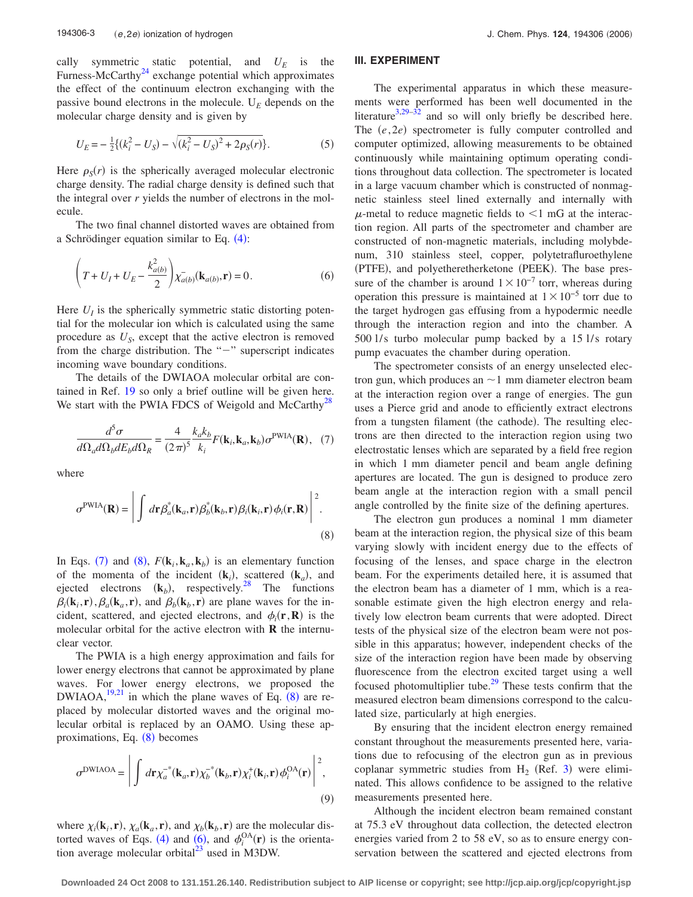cally symmetric static potential, and  $U_E$  is the Furness-McCarthy<sup>24</sup> exchange potential which approximates the effect of the continuum electron exchanging with the passive bound electrons in the molecule.  $U_E$  depends on the molecular charge density and is given by

$$
U_E = -\frac{1}{2}\{(k_i^2 - U_S) - \sqrt{(k_i^2 - U_S)^2 + 2\rho_S(r)}\}.
$$
 (5)

Here  $\rho_s(r)$  is the spherically averaged molecular electronic charge density. The radial charge density is defined such that the integral over *r* yields the number of electrons in the molecule.

The two final channel distorted waves are obtained from a Schrödinger equation similar to Eq.  $(4)$  $(4)$  $(4)$ :

$$
\left(T + U_I + U_E - \frac{k_{a(b)}^2}{2}\right) \overline{\chi}_{a(b)}(\mathbf{k}_{a(b)}, \mathbf{r}) = 0.
$$
 (6)

Here  $U_I$  is the spherically symmetric static distorting potential for the molecular ion which is calculated using the same procedure as  $U_s$ , except that the active electron is removed from the charge distribution. The " $-$ " superscript indicates incoming wave boundary conditions.

The details of the DWIAOA molecular orbital are contained in Ref. [19](#page-8-0) so only a brief outline will be given here. We start with the PWIA FDCS of Weigold and McCarthy<sup>28</sup>

$$
\frac{d^5\sigma}{d\Omega_a d\Omega_b dE_b d\Omega_R} = \frac{4}{(2\pi)^5} \frac{k_a k_b}{k_i} F(\mathbf{k}_i, \mathbf{k}_a, \mathbf{k}_b) \sigma^{\text{PWA}}(\mathbf{R}), \quad (7)
$$

where

$$
\sigma^{\text{PWIA}}(\mathbf{R}) = \left| \int d\mathbf{r} \beta_a^*(\mathbf{k}_a, \mathbf{r}) \beta_b^*(\mathbf{k}_b, \mathbf{r}) \beta_i(\mathbf{k}_i, \mathbf{r}) \phi_i(\mathbf{r}, \mathbf{R}) \right|^2.
$$
\n(8)

In Eqs. (7) and (8),  $F(\mathbf{k}_i, \mathbf{k}_a, \mathbf{k}_b)$  is an elementary function of the momenta of the incident  $(\mathbf{k}_i)$ , scattered  $(\mathbf{k}_a)$ , and ejected electrons  $(k_b)$ , respectively.<sup>28</sup> The functions  $\beta_i(\mathbf{k}_i, \mathbf{r}), \beta_a(\mathbf{k}_a, \mathbf{r})$ , and  $\beta_b(\mathbf{k}_b, \mathbf{r})$  are plane waves for the incident, scattered, and ejected electrons, and  $\phi_i(\mathbf{r}, \mathbf{R})$  is the molecular orbital for the active electron with **R** the internuclear vector.

The PWIA is a high energy approximation and fails for lower energy electrons that cannot be approximated by plane waves. For lower energy electrons, we proposed the DWIAOA,  $^{19,21}$  $^{19,21}$  $^{19,21}$  in which the plane waves of Eq. (8) are replaced by molecular distorted waves and the original molecular orbital is replaced by an OAMO. Using these approximations, Eq. (8) becomes

$$
\sigma^{\text{DWIAOA}} = \left| \int d\mathbf{r} \chi_a^{-*}(\mathbf{k}_a, \mathbf{r}) \chi_b^{-*}(\mathbf{k}_b, \mathbf{r}) \chi_i^{+}(\mathbf{k}_i, \mathbf{r}) \phi_i^{OA}(\mathbf{r}) \right|^2, \tag{9}
$$

where  $\chi_i(\mathbf{k}_i, \mathbf{r})$ ,  $\chi_a(\mathbf{k}_a, \mathbf{r})$ , and  $\chi_b(\mathbf{k}_b, \mathbf{r})$  are the molecular dis-torted waves of Eqs. ([4](#page-2-0)) and (6), and  $\phi_i^{OA}(\mathbf{r})$  is the orientation average molecular orbital $^{23}$  used in M3DW.

#### **III. EXPERIMENT**

The experimental apparatus in which these measurements were performed has been well documented in the literature<sup>3,29–32</sup> and so will only briefly be described here. The  $(e, 2e)$  spectrometer is fully computer controlled and computer optimized, allowing measurements to be obtained continuously while maintaining optimum operating conditions throughout data collection. The spectrometer is located in a large vacuum chamber which is constructed of nonmagnetic stainless steel lined externally and internally with  $\mu$ -metal to reduce magnetic fields to  $\leq 1$  mG at the interaction region. All parts of the spectrometer and chamber are constructed of non-magnetic materials, including molybdenum, 310 stainless steel, copper, polytetrafluroethylene (PTFE), and polyetheretherketone (PEEK). The base pressure of the chamber is around  $1 \times 10^{-7}$  torr, whereas during operation this pressure is maintained at  $1 \times 10^{-5}$  torr due to the target hydrogen gas effusing from a hypodermic needle through the interaction region and into the chamber. A 500 l/s turbo molecular pump backed by a 15 l/s rotary pump evacuates the chamber during operation.

The spectrometer consists of an energy unselected electron gun, which produces an  $\sim$  1 mm diameter electron beam at the interaction region over a range of energies. The gun uses a Pierce grid and anode to efficiently extract electrons from a tungsten filament (the cathode). The resulting electrons are then directed to the interaction region using two electrostatic lenses which are separated by a field free region in which 1 mm diameter pencil and beam angle defining apertures are located. The gun is designed to produce zero beam angle at the interaction region with a small pencil angle controlled by the finite size of the defining apertures.

The electron gun produces a nominal 1 mm diameter beam at the interaction region, the physical size of this beam varying slowly with incident energy due to the effects of focusing of the lenses, and space charge in the electron beam. For the experiments detailed here, it is assumed that the electron beam has a diameter of 1 mm, which is a reasonable estimate given the high electron energy and relatively low electron beam currents that were adopted. Direct tests of the physical size of the electron beam were not possible in this apparatus; however, independent checks of the size of the interaction region have been made by observing fluorescence from the electron excited target using a well focused photomultiplier tube.<sup>29</sup> These tests confirm that the measured electron beam dimensions correspond to the calculated size, particularly at high energies.

By ensuring that the incident electron energy remained constant throughout the measurements presented here, variations due to refocusing of the electron gun as in previous coplanar symmetric studies from  $H_2$  (Ref. [3](#page-8-0)) were eliminated. This allows confidence to be assigned to the relative measurements presented here.

Although the incident electron beam remained constant at 75.3 eV throughout data collection, the detected electron energies varied from 2 to 58 eV, so as to ensure energy conservation between the scattered and ejected electrons from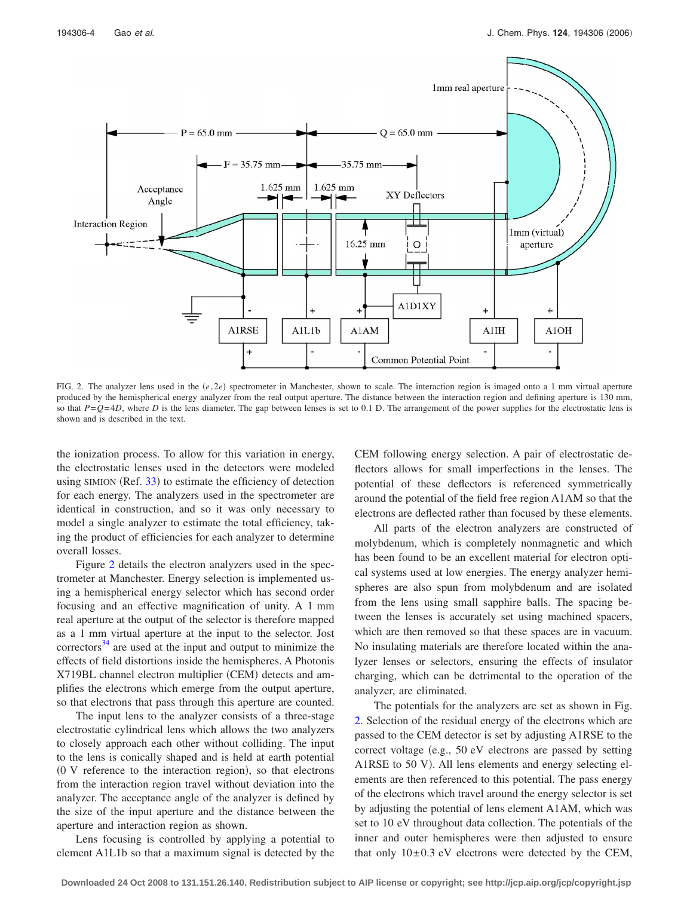<span id="page-4-0"></span>

FIG. 2. The analyzer lens used in the  $(e, 2e)$  spectrometer in Manchester, shown to scale. The interaction region is imaged onto a 1 mm virtual aperture produced by the hemispherical energy analyzer from the real output aperture. The distance between the interaction region and defining aperture is 130 mm, so that  $P = Q = 4D$ , where *D* is the lens diameter. The gap between lenses is set to 0.1 D. The arrangement of the power supplies for the electrostatic lens is shown and is described in the text.

the ionization process. To allow for this variation in energy, the electrostatic lenses used in the detectors were modeled using SIMION (Ref. [33](#page-8-0)) to estimate the efficiency of detection for each energy. The analyzers used in the spectrometer are identical in construction, and so it was only necessary to model a single analyzer to estimate the total efficiency, taking the product of efficiencies for each analyzer to determine overall losses.

Figure 2 details the electron analyzers used in the spectrometer at Manchester. Energy selection is implemented using a hemispherical energy selector which has second order focusing and an effective magnification of unity. A 1 mm real aperture at the output of the selector is therefore mapped as a 1 mm virtual aperture at the input to the selector. Jost  $correctors<sup>34</sup>$  are used at the input and output to minimize the effects of field distortions inside the hemispheres. A Photonis X719BL channel electron multiplier (CEM) detects and amplifies the electrons which emerge from the output aperture, so that electrons that pass through this aperture are counted.

The input lens to the analyzer consists of a three-stage electrostatic cylindrical lens which allows the two analyzers to closely approach each other without colliding. The input to the lens is conically shaped and is held at earth potential (0 V reference to the interaction region), so that electrons from the interaction region travel without deviation into the analyzer. The acceptance angle of the analyzer is defined by the size of the input aperture and the distance between the aperture and interaction region as shown.

Lens focusing is controlled by applying a potential to element A1L1b so that a maximum signal is detected by the CEM following energy selection. A pair of electrostatic deflectors allows for small imperfections in the lenses. The potential of these deflectors is referenced symmetrically around the potential of the field free region A1AM so that the electrons are deflected rather than focused by these elements.

All parts of the electron analyzers are constructed of molybdenum, which is completely nonmagnetic and which has been found to be an excellent material for electron optical systems used at low energies. The energy analyzer hemispheres are also spun from molybdenum and are isolated from the lens using small sapphire balls. The spacing between the lenses is accurately set using machined spacers, which are then removed so that these spaces are in vacuum. No insulating materials are therefore located within the analyzer lenses or selectors, ensuring the effects of insulator charging, which can be detrimental to the operation of the analyzer, are eliminated.

The potentials for the analyzers are set as shown in Fig. 2. Selection of the residual energy of the electrons which are passed to the CEM detector is set by adjusting A1RSE to the correct voltage (e.g.,  $50 \text{ eV}$  electrons are passed by setting A1RSE to 50 V). All lens elements and energy selecting elements are then referenced to this potential. The pass energy of the electrons which travel around the energy selector is set by adjusting the potential of lens element A1AM, which was set to 10 eV throughout data collection. The potentials of the inner and outer hemispheres were then adjusted to ensure that only  $10\pm0.3$  eV electrons were detected by the CEM,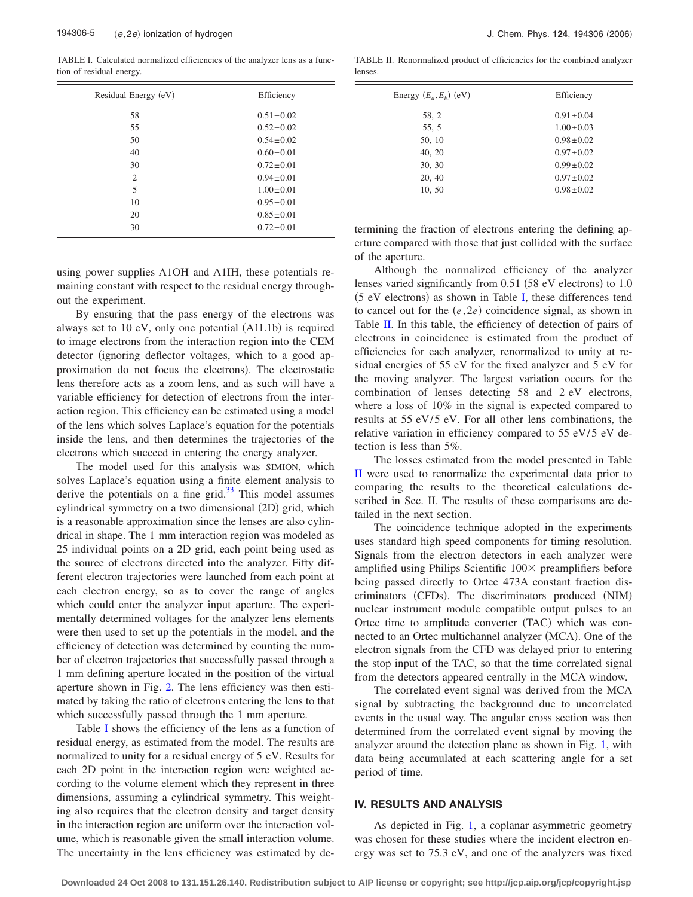TABLE I. Calculated normalized efficiencies of the analyzer lens as a function of residual energy.

| Residual Energy (eV) | Efficiency      |
|----------------------|-----------------|
| 58                   | $0.51 \pm 0.02$ |
| 55                   | $0.52 \pm 0.02$ |
| 50                   | $0.54 \pm 0.02$ |
| 40                   | $0.60 \pm 0.01$ |
| 30                   | $0.72 \pm 0.01$ |
| $\overline{2}$       | $0.94 \pm 0.01$ |
| 5                    | $1.00 \pm 0.01$ |
| 10                   | $0.95 \pm 0.01$ |
| 20                   | $0.85 \pm 0.01$ |
| 30                   | $0.72 \pm 0.01$ |

using power supplies A1OH and A1IH, these potentials remaining constant with respect to the residual energy throughout the experiment.

By ensuring that the pass energy of the electrons was always set to 10 eV, only one potential (A1L1b) is required to image electrons from the interaction region into the CEM detector ignoring deflector voltages, which to a good approximation do not focus the electrons). The electrostatic lens therefore acts as a zoom lens, and as such will have a variable efficiency for detection of electrons from the interaction region. This efficiency can be estimated using a model of the lens which solves Laplace's equation for the potentials inside the lens, and then determines the trajectories of the electrons which succeed in entering the energy analyzer.

The model used for this analysis was SIMION, which solves Laplace's equation using a finite element analysis to derive the potentials on a fine grid. $33$  This model assumes cylindrical symmetry on a two dimensional (2D) grid, which is a reasonable approximation since the lenses are also cylindrical in shape. The 1 mm interaction region was modeled as 25 individual points on a 2D grid, each point being used as the source of electrons directed into the analyzer. Fifty different electron trajectories were launched from each point at each electron energy, so as to cover the range of angles which could enter the analyzer input aperture. The experimentally determined voltages for the analyzer lens elements were then used to set up the potentials in the model, and the efficiency of detection was determined by counting the number of electron trajectories that successfully passed through a 1 mm defining aperture located in the position of the virtual aperture shown in Fig. [2.](#page-4-0) The lens efficiency was then estimated by taking the ratio of electrons entering the lens to that which successfully passed through the 1 mm aperture.

Table I shows the efficiency of the lens as a function of residual energy, as estimated from the model. The results are normalized to unity for a residual energy of 5 eV. Results for each 2D point in the interaction region were weighted according to the volume element which they represent in three dimensions, assuming a cylindrical symmetry. This weighting also requires that the electron density and target density in the interaction region are uniform over the interaction volume, which is reasonable given the small interaction volume. The uncertainty in the lens efficiency was estimated by de-

TABLE II. Renormalized product of efficiencies for the combined analyzer lenses.

| Energy $(E_a, E_b)$ (eV) | Efficiency      |
|--------------------------|-----------------|
| 58, 2                    | $0.91 \pm 0.04$ |
| 55, 5                    | $1.00 \pm 0.03$ |
| 50, 10                   | $0.98 \pm 0.02$ |
| 40, 20                   | $0.97 \pm 0.02$ |
| 30, 30                   | $0.99 \pm 0.02$ |
| 20, 40                   | $0.97 \pm 0.02$ |
| 10, 50                   | $0.98 \pm 0.02$ |

termining the fraction of electrons entering the defining aperture compared with those that just collided with the surface of the aperture.

Although the normalized efficiency of the analyzer lenses varied significantly from 0.51 (58 eV electrons) to 1.0  $(5 \text{ eV electrons})$  as shown in Table I, these differences tend to cancel out for the  $(e, 2e)$  coincidence signal, as shown in Table II. In this table, the efficiency of detection of pairs of electrons in coincidence is estimated from the product of efficiencies for each analyzer, renormalized to unity at residual energies of 55 eV for the fixed analyzer and 5 eV for the moving analyzer. The largest variation occurs for the combination of lenses detecting 58 and 2 eV electrons, where a loss of 10% in the signal is expected compared to results at 55 eV/5 eV. For all other lens combinations, the relative variation in efficiency compared to  $55 \frac{\text{eV}}{5}$  eV detection is less than 5%.

The losses estimated from the model presented in Table II were used to renormalize the experimental data prior to comparing the results to the theoretical calculations described in Sec. II. The results of these comparisons are detailed in the next section.

The coincidence technique adopted in the experiments uses standard high speed components for timing resolution. Signals from the electron detectors in each analyzer were amplified using Philips Scientific  $100 \times$  preamplifiers before being passed directly to Ortec 473A constant fraction discriminators (CFDs). The discriminators produced (NIM) nuclear instrument module compatible output pulses to an Ortec time to amplitude converter (TAC) which was connected to an Ortec multichannel analyzer (MCA). One of the electron signals from the CFD was delayed prior to entering the stop input of the TAC, so that the time correlated signal from the detectors appeared centrally in the MCA window.

The correlated event signal was derived from the MCA signal by subtracting the background due to uncorrelated events in the usual way. The angular cross section was then determined from the correlated event signal by moving the analyzer around the detection plane as shown in Fig. [1,](#page-2-0) with data being accumulated at each scattering angle for a set period of time.

#### **IV. RESULTS AND ANALYSIS**

As depicted in Fig. [1,](#page-2-0) a coplanar asymmetric geometry was chosen for these studies where the incident electron energy was set to 75.3 eV, and one of the analyzers was fixed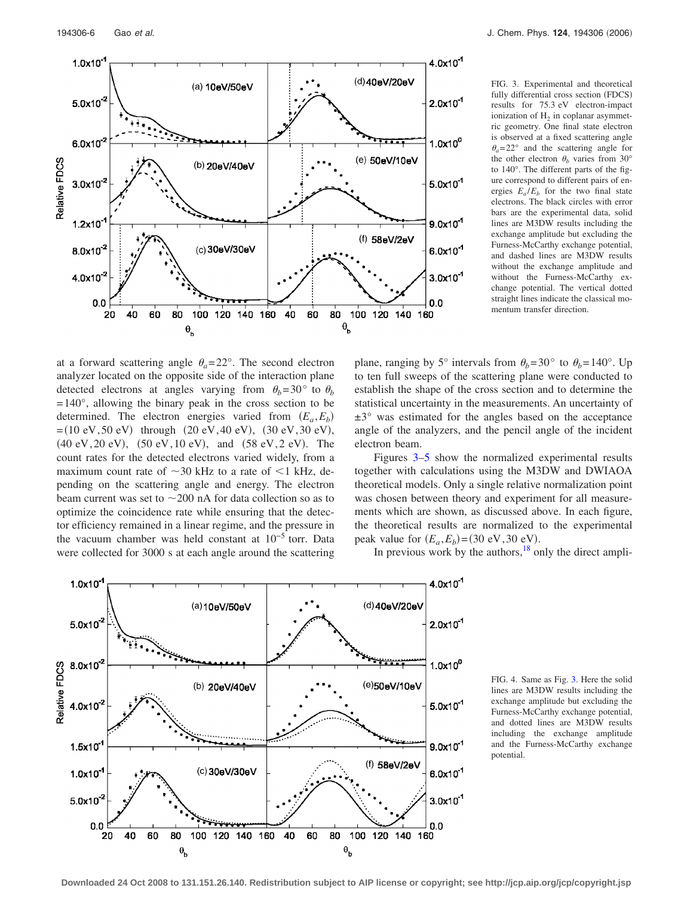<span id="page-6-0"></span>

FIG. 3. Experimental and theoretical fully differential cross section (FDCS) results for 75.3 eV electron-impact ionization of  $H_2$  in coplanar asymmetric geometry. One final state electron is observed at a fixed scattering angle  $heta_a = 22^\circ$  and the scattering angle for the other electron  $\theta_h$  varies from 30° to 140°. The different parts of the figure correspond to different pairs of energies  $E_a/E_b$  for the two final state electrons. The black circles with error bars are the experimental data, solid lines are M3DW results including the exchange amplitude but excluding the Furness-McCarthy exchange potential, and dashed lines are M3DW results without the exchange amplitude and without the Furness-McCarthy exchange potential. The vertical dotted straight lines indicate the classical momentum transfer direction.

at a forward scattering angle  $\theta_a = 22^\circ$ . The second electron analyzer located on the opposite side of the interaction plane detected electrons at angles varying from  $\theta_b$ =30° to  $\theta_b$  $= 140^{\circ}$ , allowing the binary peak in the cross section to be determined. The electron energies varied from  $(E_a, E_b)$  $=(10 \text{ eV}, 50 \text{ eV})$  through  $(20 \text{ eV}, 40 \text{ eV})$ ,  $(30 \text{ eV}, 30 \text{ eV})$ , (40 eV, 20 eV), (50 eV, 10 eV), and (58 eV, 2 eV). The count rates for the detected electrons varied widely, from a maximum count rate of  $\sim$ 30 kHz to a rate of  $\leq$ 1 kHz, depending on the scattering angle and energy. The electron beam current was set to  $\sim$  200 nA for data collection so as to optimize the coincidence rate while ensuring that the detector efficiency remained in a linear regime, and the pressure in the vacuum chamber was held constant at 10−5 torr. Data were collected for 3000 s at each angle around the scattering

plane, ranging by 5° intervals from  $\theta_b = 30^\circ$  to  $\theta_b = 140^\circ$ . Up to ten full sweeps of the scattering plane were conducted to establish the shape of the cross section and to determine the statistical uncertainty in the measurements. An uncertainty of  $\pm 3^{\circ}$  was estimated for the angles based on the acceptance angle of the analyzers, and the pencil angle of the incident electron beam.

Figures 3[–5](#page-7-0) show the normalized experimental results together with calculations using the M3DW and DWIAOA theoretical models. Only a single relative normalization point was chosen between theory and experiment for all measurements which are shown, as discussed above. In each figure, the theoretical results are normalized to the experimental peak value for  $(E_a, E_b) = (30 \text{ eV}, 30 \text{ eV})$ .

In previous work by the authors, $\frac{18}{18}$  only the direct ampli-



FIG. 4. Same as Fig. 3. Here the solid lines are M3DW results including the exchange amplitude but excluding the Furness-McCarthy exchange potential, and dotted lines are M3DW results including the exchange amplitude and the Furness-McCarthy exchange potential.

**Downloaded 24 Oct 2008 to 131.151.26.140. Redistribution subject to AIP license or copyright; see http://jcp.aip.org/jcp/copyright.jsp**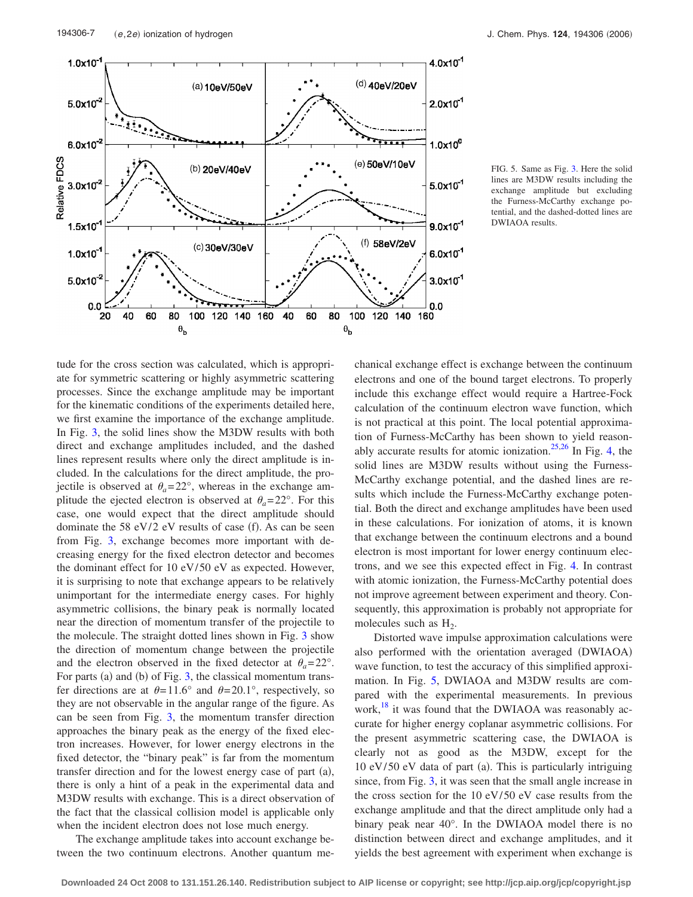<span id="page-7-0"></span>

FIG. 5. Same as Fig. [3.](#page-6-0) Here the solid lines are M3DW results including the exchange amplitude but excluding the Furness-McCarthy exchange potential, and the dashed-dotted lines are DWIAOA results.

tude for the cross section was calculated, which is appropriate for symmetric scattering or highly asymmetric scattering processes. Since the exchange amplitude may be important for the kinematic conditions of the experiments detailed here, we first examine the importance of the exchange amplitude. In Fig. [3,](#page-6-0) the solid lines show the M3DW results with both direct and exchange amplitudes included, and the dashed lines represent results where only the direct amplitude is included. In the calculations for the direct amplitude, the projectile is observed at  $\theta_a = 22^\circ$ , whereas in the exchange amplitude the ejected electron is observed at  $\theta_a = 22^\circ$ . For this case, one would expect that the direct amplitude should dominate the 58  $eV/2$  eV results of case (f). As can be seen from Fig. [3,](#page-6-0) exchange becomes more important with decreasing energy for the fixed electron detector and becomes the dominant effect for 10 eV/50 eV as expected. However, it is surprising to note that exchange appears to be relatively unimportant for the intermediate energy cases. For highly asymmetric collisions, the binary peak is normally located near the direction of momentum transfer of the projectile to the molecule. The straight dotted lines shown in Fig. [3](#page-6-0) show the direction of momentum change between the projectile and the electron observed in the fixed detector at  $\theta_a = 22^\circ$ . For parts (a) and (b) of Fig.  $3$ , the classical momentum transfer directions are at  $\theta = 11.6^\circ$  and  $\theta = 20.1^\circ$ , respectively, so they are not observable in the angular range of the figure. As can be seen from Fig. [3,](#page-6-0) the momentum transfer direction approaches the binary peak as the energy of the fixed electron increases. However, for lower energy electrons in the fixed detector, the "binary peak" is far from the momentum transfer direction and for the lowest energy case of part (a), there is only a hint of a peak in the experimental data and M3DW results with exchange. This is a direct observation of the fact that the classical collision model is applicable only when the incident electron does not lose much energy.

The exchange amplitude takes into account exchange between the two continuum electrons. Another quantum mechanical exchange effect is exchange between the continuum electrons and one of the bound target electrons. To properly include this exchange effect would require a Hartree-Fock calculation of the continuum electron wave function, which is not practical at this point. The local potential approximation of Furness-McCarthy has been shown to yield reason-ably accurate results for atomic ionization.<sup>25,26</sup> In Fig. [4,](#page-6-0) the solid lines are M3DW results without using the Furness-McCarthy exchange potential, and the dashed lines are results which include the Furness-McCarthy exchange potential. Both the direct and exchange amplitudes have been used in these calculations. For ionization of atoms, it is known that exchange between the continuum electrons and a bound electron is most important for lower energy continuum electrons, and we see this expected effect in Fig. [4.](#page-6-0) In contrast with atomic ionization, the Furness-McCarthy potential does not improve agreement between experiment and theory. Consequently, this approximation is probably not appropriate for molecules such as  $H_2$ .

Distorted wave impulse approximation calculations were also performed with the orientation averaged (DWIAOA) wave function, to test the accuracy of this simplified approximation. In Fig. 5, DWIAOA and M3DW results are compared with the experimental measurements. In previous work, $\frac{18}{18}$  it was found that the DWIAOA was reasonably accurate for higher energy coplanar asymmetric collisions. For the present asymmetric scattering case, the DWIAOA is clearly not as good as the M3DW, except for the 10 eV/50 eV data of part (a). This is particularly intriguing since, from Fig. [3,](#page-6-0) it was seen that the small angle increase in the cross section for the  $10 \frac{eV}{50}$  eV case results from the exchange amplitude and that the direct amplitude only had a binary peak near 40°. In the DWIAOA model there is no distinction between direct and exchange amplitudes, and it yields the best agreement with experiment when exchange is